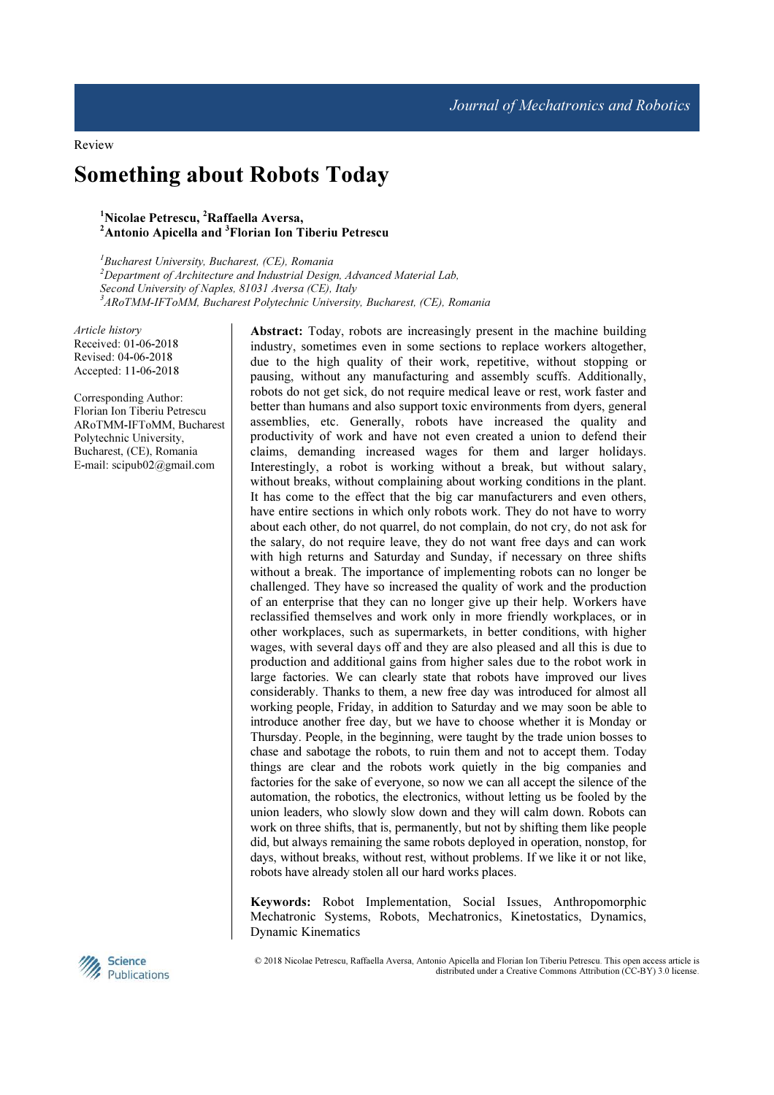Review

# Something about Robots Today

## <sup>1</sup>Nicolae Petrescu, <sup>2</sup>Raffaella Aversa,  $2$ Antonio Apicella and  $3$ Florian Ion Tiberiu Petrescu

 ${}^{1}$ Bucharest University, Bucharest, (CE), Romania  $2$ Department of Architecture and Industrial Design, Advanced Material Lab, Second University of Naples, 81031 Aversa (CE), Italy <sup>3</sup>ARoTMM-IFToMM, Bucharest Polytechnic University, Bucharest, (CE), Romania

Article history Received: 01-06-2018 Revised: 04-06-2018 Accepted: 11-06-2018

Corresponding Author: Florian Ion Tiberiu Petrescu ARoTMM-IFToMM, Bucharest Polytechnic University, Bucharest, (CE), Romania E-mail: scipub02@gmail.com

Abstract: Today, robots are increasingly present in the machine building industry, sometimes even in some sections to replace workers altogether, due to the high quality of their work, repetitive, without stopping or pausing, without any manufacturing and assembly scuffs. Additionally, robots do not get sick, do not require medical leave or rest, work faster and better than humans and also support toxic environments from dyers, general assemblies, etc. Generally, robots have increased the quality and productivity of work and have not even created a union to defend their claims, demanding increased wages for them and larger holidays. Interestingly, a robot is working without a break, but without salary, without breaks, without complaining about working conditions in the plant. It has come to the effect that the big car manufacturers and even others, have entire sections in which only robots work. They do not have to worry about each other, do not quarrel, do not complain, do not cry, do not ask for the salary, do not require leave, they do not want free days and can work with high returns and Saturday and Sunday, if necessary on three shifts without a break. The importance of implementing robots can no longer be challenged. They have so increased the quality of work and the production of an enterprise that they can no longer give up their help. Workers have reclassified themselves and work only in more friendly workplaces, or in other workplaces, such as supermarkets, in better conditions, with higher wages, with several days off and they are also pleased and all this is due to production and additional gains from higher sales due to the robot work in large factories. We can clearly state that robots have improved our lives considerably. Thanks to them, a new free day was introduced for almost all working people, Friday, in addition to Saturday and we may soon be able to introduce another free day, but we have to choose whether it is Monday or Thursday. People, in the beginning, were taught by the trade union bosses to chase and sabotage the robots, to ruin them and not to accept them. Today things are clear and the robots work quietly in the big companies and factories for the sake of everyone, so now we can all accept the silence of the automation, the robotics, the electronics, without letting us be fooled by the union leaders, who slowly slow down and they will calm down. Robots can work on three shifts, that is, permanently, but not by shifting them like people did, but always remaining the same robots deployed in operation, nonstop, for days, without breaks, without rest, without problems. If we like it or not like, robots have already stolen all our hard works places.

Keywords: Robot Implementation, Social Issues, Anthropomorphic Mechatronic Systems, Robots, Mechatronics, Kinetostatics, Dynamics, Dynamic Kinematics



© 2018 Nicolae Petrescu, Raffaella Aversa, Antonio Apicella and Florian Ion Tiberiu Petrescu. This open access article is distributed under a Creative Commons Attribution (CC-BY) 3.0 license.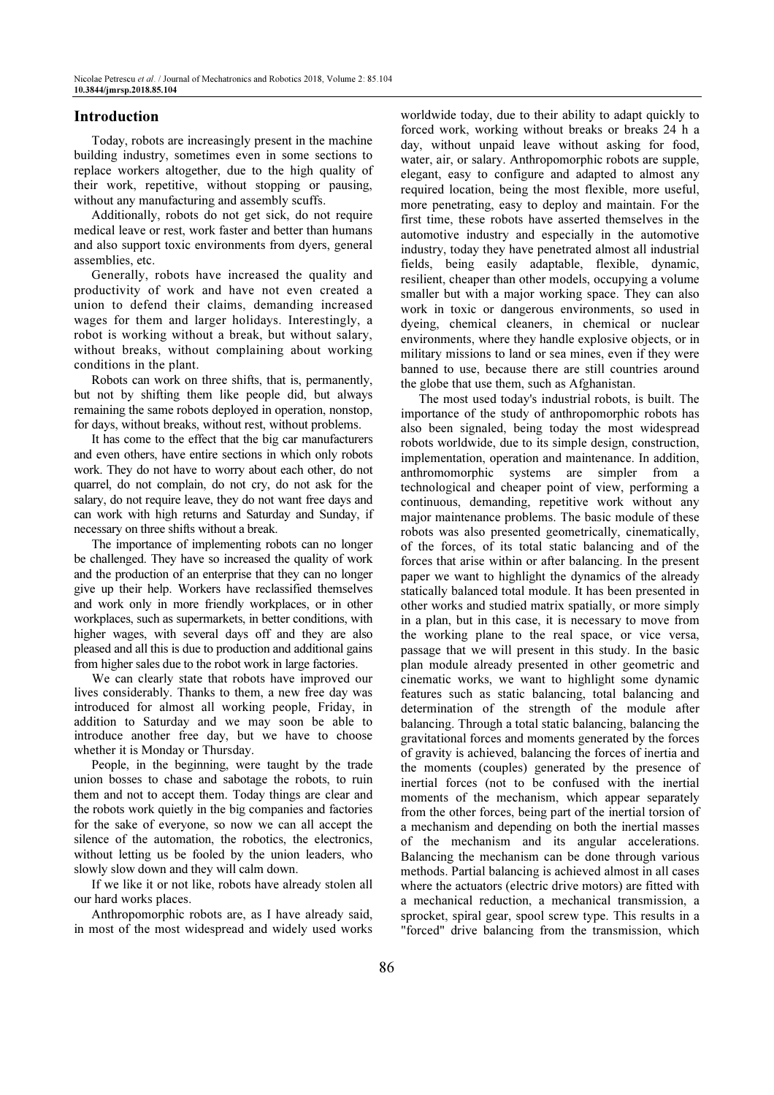# Introduction

Today, robots are increasingly present in the machine building industry, sometimes even in some sections to replace workers altogether, due to the high quality of their work, repetitive, without stopping or pausing, without any manufacturing and assembly scuffs.

Additionally, robots do not get sick, do not require medical leave or rest, work faster and better than humans and also support toxic environments from dyers, general assemblies, etc.

Generally, robots have increased the quality and productivity of work and have not even created a union to defend their claims, demanding increased wages for them and larger holidays. Interestingly, a robot is working without a break, but without salary, without breaks, without complaining about working conditions in the plant.

Robots can work on three shifts, that is, permanently, but not by shifting them like people did, but always remaining the same robots deployed in operation, nonstop, for days, without breaks, without rest, without problems.

It has come to the effect that the big car manufacturers and even others, have entire sections in which only robots work. They do not have to worry about each other, do not quarrel, do not complain, do not cry, do not ask for the salary, do not require leave, they do not want free days and can work with high returns and Saturday and Sunday, if necessary on three shifts without a break.

The importance of implementing robots can no longer be challenged. They have so increased the quality of work and the production of an enterprise that they can no longer give up their help. Workers have reclassified themselves and work only in more friendly workplaces, or in other workplaces, such as supermarkets, in better conditions, with higher wages, with several days off and they are also pleased and all this is due to production and additional gains from higher sales due to the robot work in large factories.

We can clearly state that robots have improved our lives considerably. Thanks to them, a new free day was introduced for almost all working people, Friday, in addition to Saturday and we may soon be able to introduce another free day, but we have to choose whether it is Monday or Thursday.

People, in the beginning, were taught by the trade union bosses to chase and sabotage the robots, to ruin them and not to accept them. Today things are clear and the robots work quietly in the big companies and factories for the sake of everyone, so now we can all accept the silence of the automation, the robotics, the electronics, without letting us be fooled by the union leaders, who slowly slow down and they will calm down.

If we like it or not like, robots have already stolen all our hard works places.

Anthropomorphic robots are, as I have already said, in most of the most widespread and widely used works

worldwide today, due to their ability to adapt quickly to forced work, working without breaks or breaks 24 h a day, without unpaid leave without asking for food, water, air, or salary. Anthropomorphic robots are supple, elegant, easy to configure and adapted to almost any required location, being the most flexible, more useful, more penetrating, easy to deploy and maintain. For the first time, these robots have asserted themselves in the automotive industry and especially in the automotive industry, today they have penetrated almost all industrial fields, being easily adaptable, flexible, dynamic, resilient, cheaper than other models, occupying a volume smaller but with a major working space. They can also work in toxic or dangerous environments, so used in dyeing, chemical cleaners, in chemical or nuclear environments, where they handle explosive objects, or in military missions to land or sea mines, even if they were banned to use, because there are still countries around the globe that use them, such as Afghanistan.

The most used today's industrial robots, is built. The importance of the study of anthropomorphic robots has also been signaled, being today the most widespread robots worldwide, due to its simple design, construction, implementation, operation and maintenance. In addition, anthromomorphic systems are simpler from a technological and cheaper point of view, performing a continuous, demanding, repetitive work without any major maintenance problems. The basic module of these robots was also presented geometrically, cinematically, of the forces, of its total static balancing and of the forces that arise within or after balancing. In the present paper we want to highlight the dynamics of the already statically balanced total module. It has been presented in other works and studied matrix spatially, or more simply in a plan, but in this case, it is necessary to move from the working plane to the real space, or vice versa, passage that we will present in this study. In the basic plan module already presented in other geometric and cinematic works, we want to highlight some dynamic features such as static balancing, total balancing and determination of the strength of the module after balancing. Through a total static balancing, balancing the gravitational forces and moments generated by the forces of gravity is achieved, balancing the forces of inertia and the moments (couples) generated by the presence of inertial forces (not to be confused with the inertial moments of the mechanism, which appear separately from the other forces, being part of the inertial torsion of a mechanism and depending on both the inertial masses of the mechanism and its angular accelerations. Balancing the mechanism can be done through various methods. Partial balancing is achieved almost in all cases where the actuators (electric drive motors) are fitted with a mechanical reduction, a mechanical transmission, a sprocket, spiral gear, spool screw type. This results in a "forced" drive balancing from the transmission, which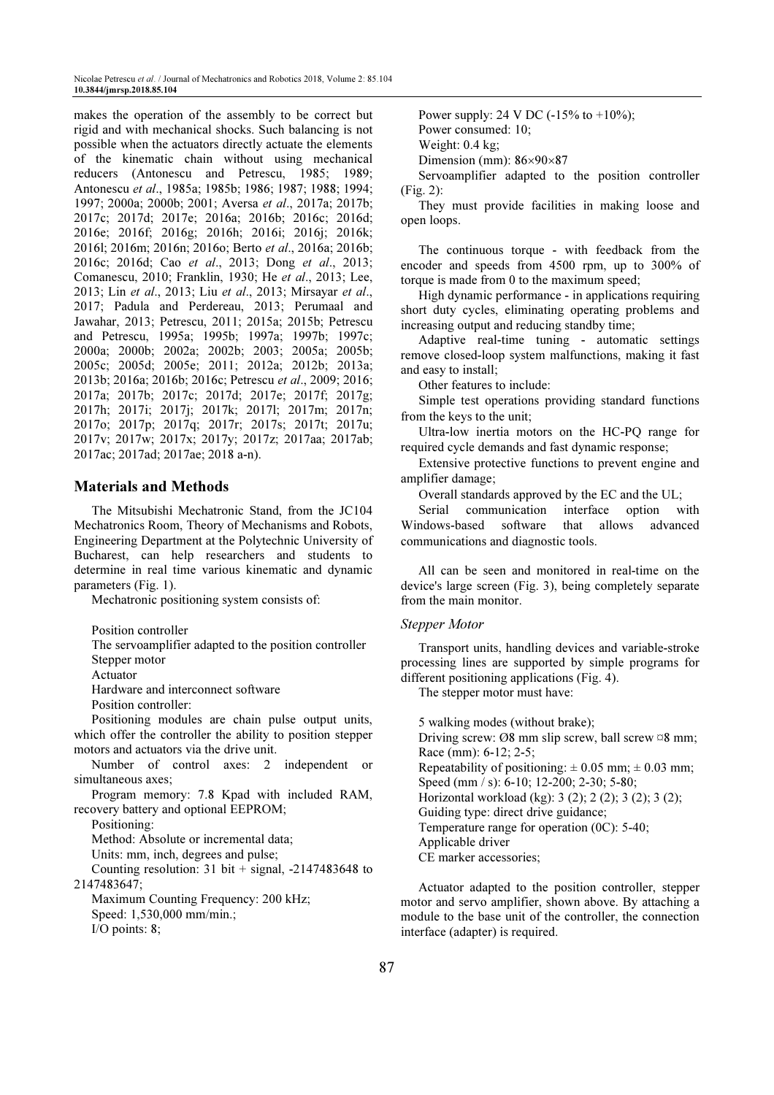makes the operation of the assembly to be correct but rigid and with mechanical shocks. Such balancing is not possible when the actuators directly actuate the elements of the kinematic chain without using mechanical reducers (Antonescu and Petrescu, 1985; 1989; Antonescu et al., 1985a; 1985b; 1986; 1987; 1988; 1994; 1997; 2000a; 2000b; 2001; Aversa et al., 2017a; 2017b; 2017c; 2017d; 2017e; 2016a; 2016b; 2016c; 2016d; 2016e; 2016f; 2016g; 2016h; 2016i; 2016j; 2016k; 2016l; 2016m; 2016n; 2016o; Berto et al., 2016a; 2016b; 2016c; 2016d; Cao et al., 2013; Dong et al., 2013; Comanescu, 2010; Franklin, 1930; He et al., 2013; Lee, 2013; Lin et al., 2013; Liu et al., 2013; Mirsayar et al., 2017; Padula and Perdereau, 2013; Perumaal and Jawahar, 2013; Petrescu, 2011; 2015a; 2015b; Petrescu and Petrescu, 1995a; 1995b; 1997a; 1997b; 1997c; 2000a; 2000b; 2002a; 2002b; 2003; 2005a; 2005b; 2005c; 2005d; 2005e; 2011; 2012a; 2012b; 2013a; 2013b; 2016a; 2016b; 2016c; Petrescu et al., 2009; 2016; 2017a; 2017b; 2017c; 2017d; 2017e; 2017f; 2017g; 2017h; 2017i; 2017j; 2017k; 2017l; 2017m; 2017n; 2017o; 2017p; 2017q; 2017r; 2017s; 2017t; 2017u; 2017v; 2017w; 2017x; 2017y; 2017z; 2017aa; 2017ab; 2017ac; 2017ad; 2017ae; 2018 a-n).

# Materials and Methods

The Mitsubishi Mechatronic Stand, from the JC104 Mechatronics Room, Theory of Mechanisms and Robots, Engineering Department at the Polytechnic University of Bucharest, can help researchers and students to determine in real time various kinematic and dynamic parameters (Fig. 1).

Mechatronic positioning system consists of:

Position controller

The servoamplifier adapted to the position controller Stepper motor

Actuator

Hardware and interconnect software

Position controller:

Positioning modules are chain pulse output units, which offer the controller the ability to position stepper motors and actuators via the drive unit.

Number of control axes: 2 independent or simultaneous axes;

Program memory: 7.8 Kpad with included RAM, recovery battery and optional EEPROM;

Positioning:

Method: Absolute or incremental data;

Units: mm, inch, degrees and pulse;

Counting resolution:  $31$  bit + signal,  $-2147483648$  to 2147483647;

Maximum Counting Frequency: 200 kHz; Speed: 1,530,000 mm/min.; I/O points: 8;

Power supply: 24 V DC (-15% to +10%); Power consumed: 10; Weight: 0.4 kg; Dimension (mm): 86×90×87 Servoamplifier adapted to the position controller (Fig. 2):

They must provide facilities in making loose and open loops.

The continuous torque - with feedback from the encoder and speeds from 4500 rpm, up to 300% of torque is made from 0 to the maximum speed;

High dynamic performance - in applications requiring short duty cycles, eliminating operating problems and increasing output and reducing standby time;

Adaptive real-time tuning - automatic settings remove closed-loop system malfunctions, making it fast and easy to install;

Other features to include:

Simple test operations providing standard functions from the keys to the unit;

Ultra-low inertia motors on the HC-PQ range for required cycle demands and fast dynamic response;

Extensive protective functions to prevent engine and amplifier damage;

Overall standards approved by the EC and the UL;

Serial communication interface option with Windows-based software that allows advanced communications and diagnostic tools.

All can be seen and monitored in real-time on the device's large screen (Fig. 3), being completely separate from the main monitor.

#### Stepper Motor

Transport units, handling devices and variable-stroke processing lines are supported by simple programs for different positioning applications (Fig. 4).

The stepper motor must have:

5 walking modes (without brake); Driving screw:  $\varnothing$ 8 mm slip screw, ball screw  $\varnothing$ 8 mm; Race (mm): 6-12; 2-5; Repeatability of positioning:  $\pm 0.05$  mm;  $\pm 0.03$  mm; Speed (mm / s): 6-10; 12-200; 2-30; 5-80; Horizontal workload (kg): 3 (2); 2 (2); 3 (2); 3 (2); Guiding type: direct drive guidance; Temperature range for operation (0C): 5-40; Applicable driver CE marker accessories;

Actuator adapted to the position controller, stepper motor and servo amplifier, shown above. By attaching a module to the base unit of the controller, the connection interface (adapter) is required.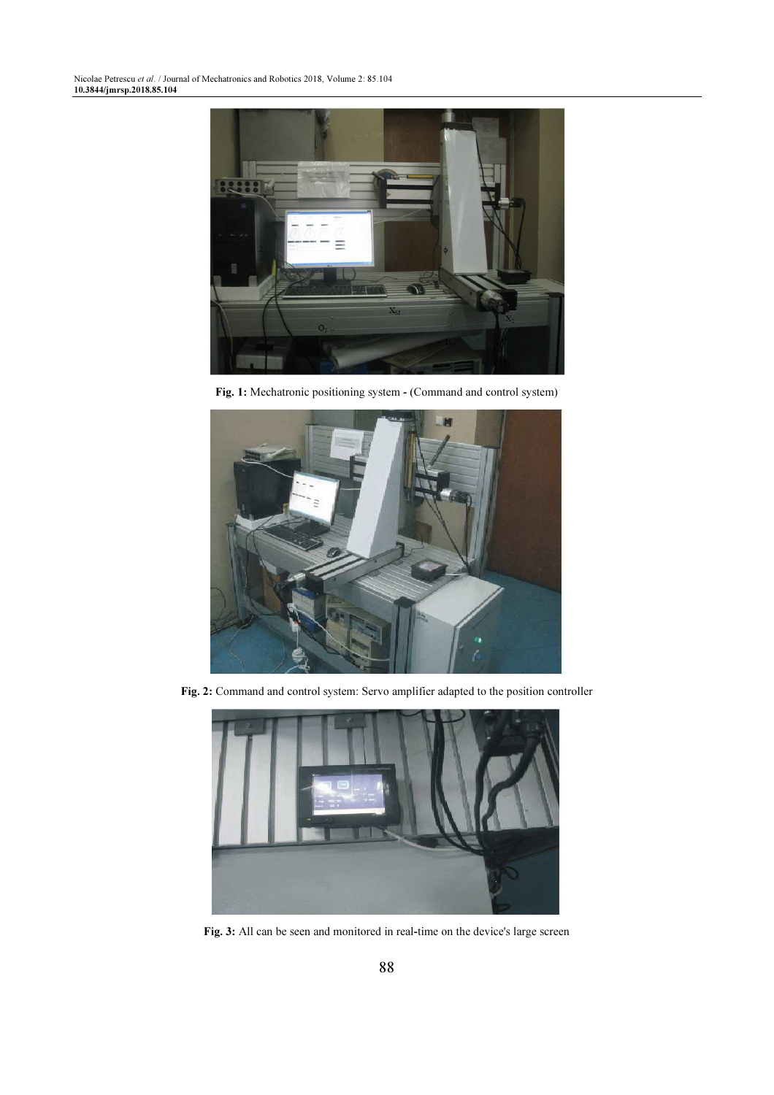

Fig. 1: Mechatronic positioning system - (Command and control system)



Fig. 2: Command and control system: Servo amplifier adapted to the position controller



Fig. 3: All can be seen and monitored in real-time on the device's large screen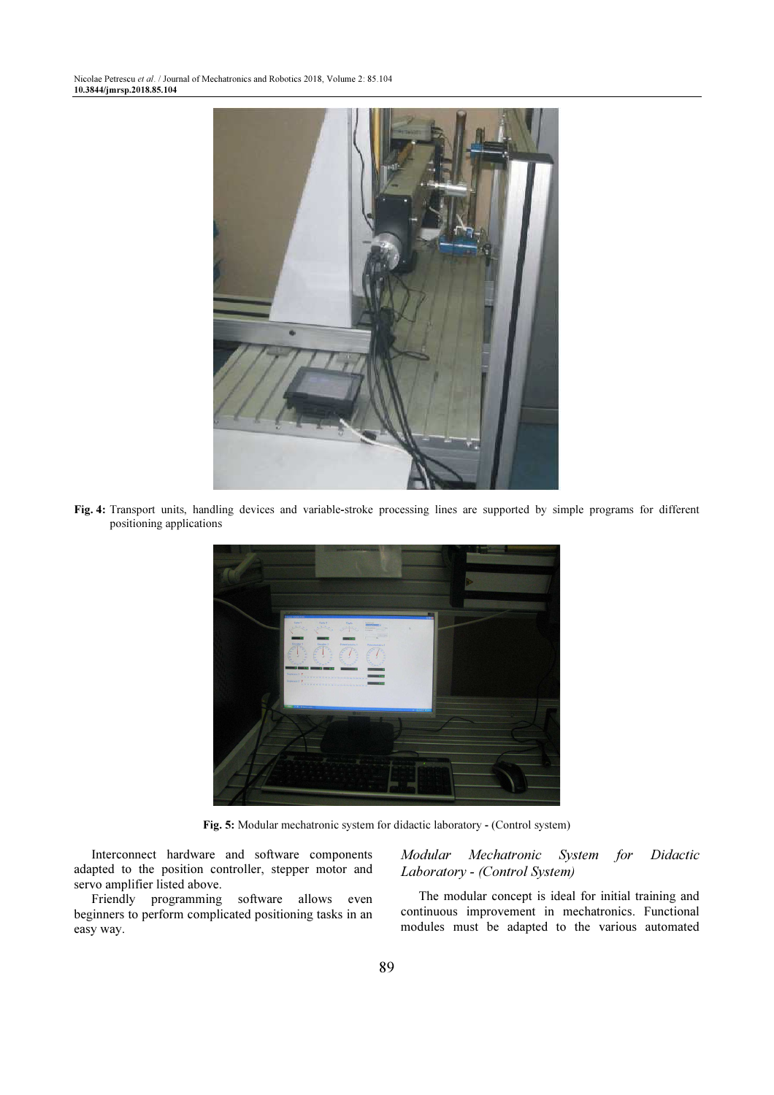

Fig. 4: Transport units, handling devices and variable-stroke processing lines are supported by simple programs for different positioning applications



Fig. 5: Modular mechatronic system for didactic laboratory - (Control system)

Interconnect hardware and software components adapted to the position controller, stepper motor and servo amplifier listed above.

Friendly programming software allows even beginners to perform complicated positioning tasks in an easy way.

# Modular Mechatronic System for Didactic Laboratory - (Control System)

The modular concept is ideal for initial training and continuous improvement in mechatronics. Functional modules must be adapted to the various automated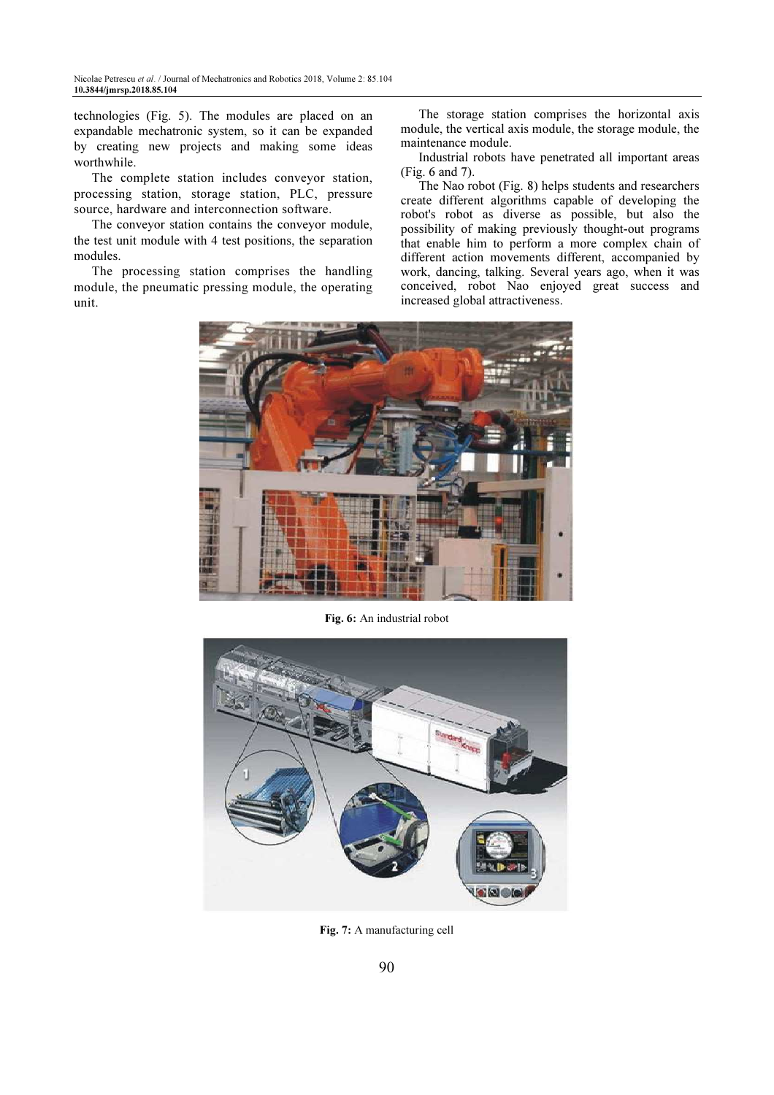technologies (Fig. 5). The modules are placed on an expandable mechatronic system, so it can be expanded by creating new projects and making some ideas worthwhile.

The complete station includes conveyor station, processing station, storage station, PLC, pressure source, hardware and interconnection software.

The conveyor station contains the conveyor module, the test unit module with 4 test positions, the separation modules.

The processing station comprises the handling module, the pneumatic pressing module, the operating unit.

The storage station comprises the horizontal axis module, the vertical axis module, the storage module, the maintenance module.

Industrial robots have penetrated all important areas (Fig. 6 and 7).

The Nao robot (Fig. 8) helps students and researchers create different algorithms capable of developing the robot's robot as diverse as possible, but also the possibility of making previously thought-out programs that enable him to perform a more complex chain of different action movements different, accompanied by work, dancing, talking. Several years ago, when it was conceived, robot Nao enjoyed great success and increased global attractiveness.



Fig. 6: An industrial robot



Fig. 7: A manufacturing cell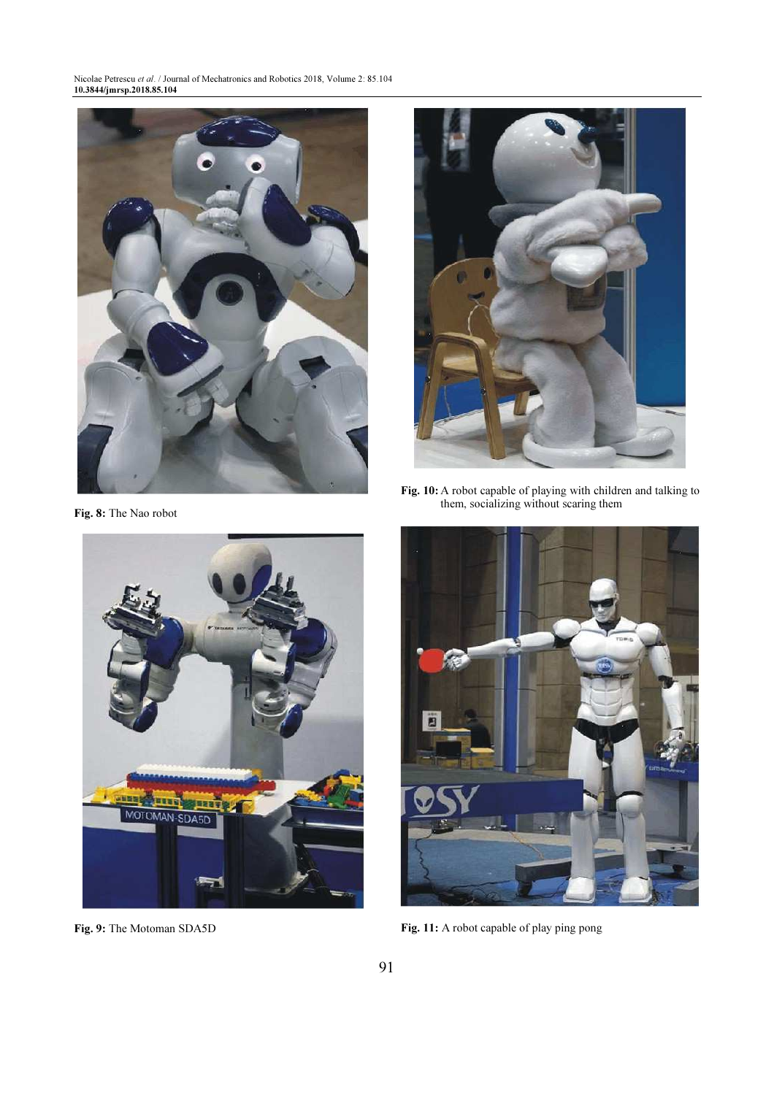

Fig. 8: The Nao robot



Fig. 9: The Motoman SDA5D



Fig. 10: A robot capable of playing with children and talking to them, socializing without scaring them



Fig. 11: A robot capable of play ping pong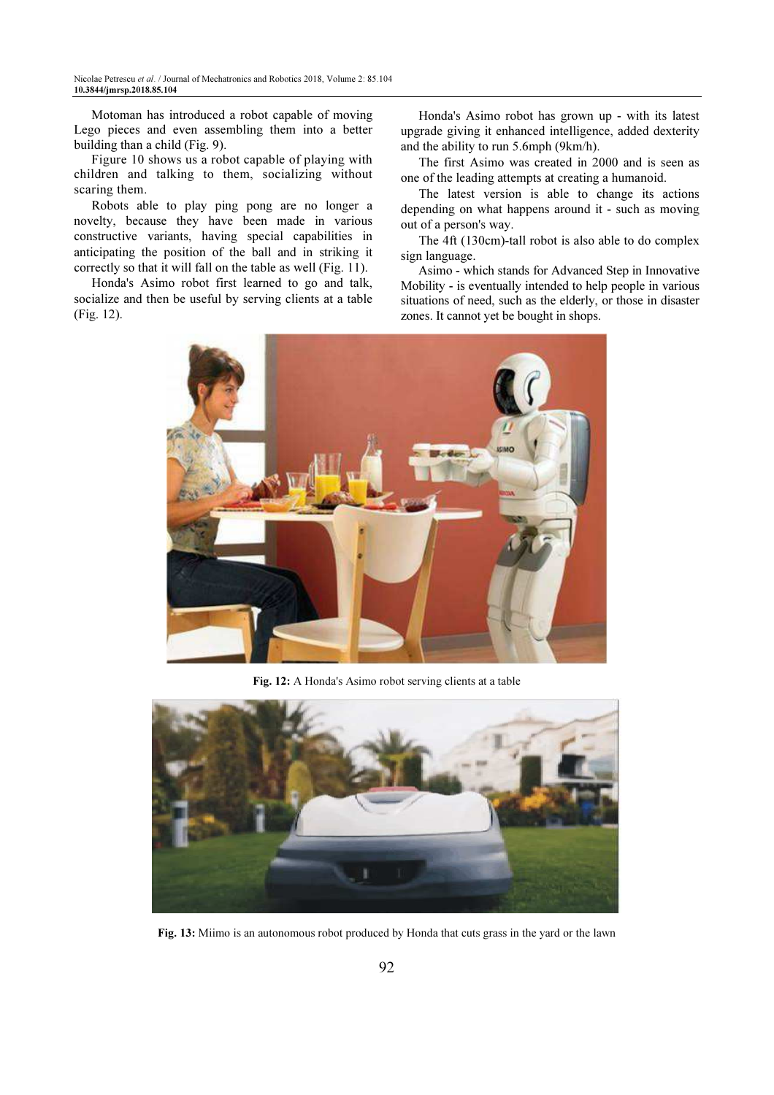Motoman has introduced a robot capable of moving Lego pieces and even assembling them into a better building than a child (Fig. 9).

Figure 10 shows us a robot capable of playing with children and talking to them, socializing without scaring them.

Robots able to play ping pong are no longer a novelty, because they have been made in various constructive variants, having special capabilities in anticipating the position of the ball and in striking it correctly so that it will fall on the table as well (Fig. 11).

Honda's Asimo robot first learned to go and talk, socialize and then be useful by serving clients at a table (Fig. 12).

Honda's Asimo robot has grown up - with its latest upgrade giving it enhanced intelligence, added dexterity and the ability to run 5.6mph (9km/h).

The first Asimo was created in 2000 and is seen as one of the leading attempts at creating a humanoid.

The latest version is able to change its actions depending on what happens around it - such as moving out of a person's way.

The 4ft (130cm)-tall robot is also able to do complex sign language.

Asimo - which stands for Advanced Step in Innovative Mobility - is eventually intended to help people in various situations of need, such as the elderly, or those in disaster zones. It cannot yet be bought in shops.



Fig. 12: A Honda's Asimo robot serving clients at a table



Fig. 13: Miimo is an autonomous robot produced by Honda that cuts grass in the yard or the lawn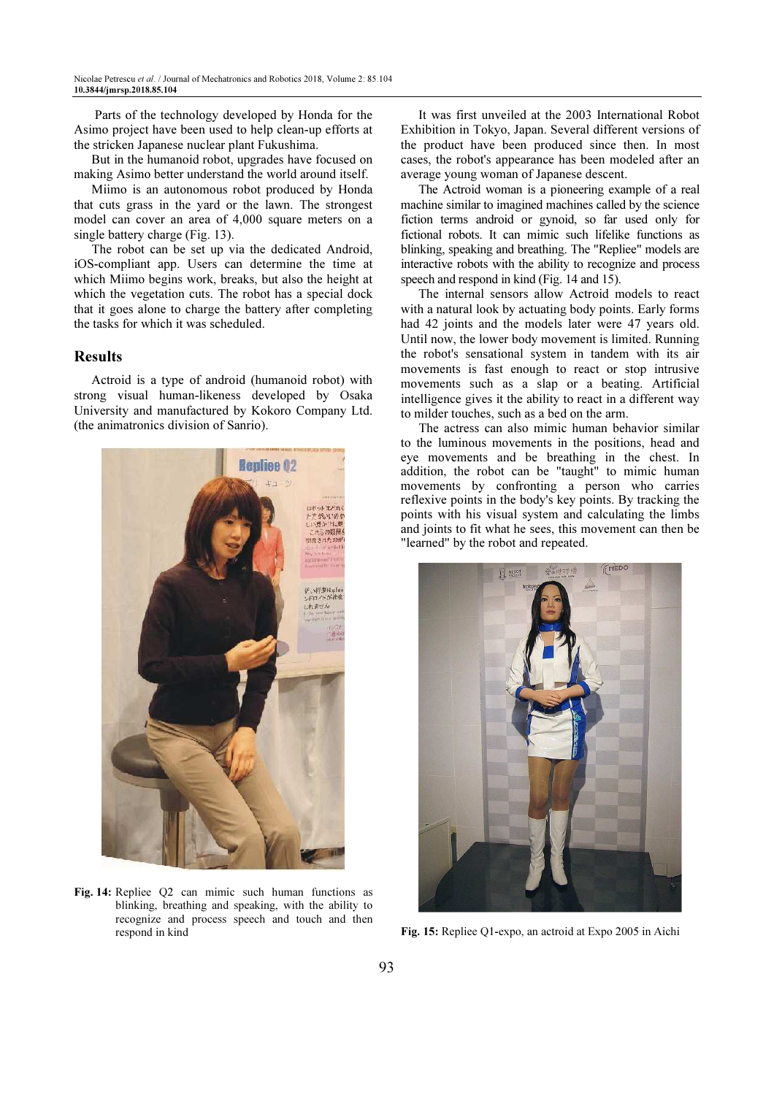Parts of the technology developed by Honda for the Asimo project have been used to help clean-up efforts at the stricken Japanese nuclear plant Fukushima.

But in the humanoid robot, upgrades have focused on making Asimo better understand the world around itself.

Miimo is an autonomous robot produced by Honda that cuts grass in the yard or the lawn. The strongest model can cover an area of 4,000 square meters on a single battery charge (Fig. 13).

The robot can be set up via the dedicated Android, iOS-compliant app. Users can determine the time at which Miimo begins work, breaks, but also the height at which the vegetation cuts. The robot has a special dock that it goes alone to charge the battery after completing the tasks for which it was scheduled.

#### Results

Actroid is a type of android (humanoid robot) with strong visual human-likeness developed by Osaka University and manufactured by Kokoro Company Ltd. (the animatronics division of Sanrio).



Fig. 14: Repliee Q2 can mimic such human functions as blinking, breathing and speaking, with the ability to recognize and process speech and touch and then respond in kind

It was first unveiled at the 2003 International Robot Exhibition in Tokyo, Japan. Several different versions of the product have been produced since then. In most cases, the robot's appearance has been modeled after an average young woman of Japanese descent.

The Actroid woman is a pioneering example of a real machine similar to imagined machines called by the science fiction terms android or gynoid, so far used only for fictional robots. It can mimic such lifelike functions as blinking, speaking and breathing. The "Repliee" models are interactive robots with the ability to recognize and process speech and respond in kind (Fig. 14 and 15).

The internal sensors allow Actroid models to react with a natural look by actuating body points. Early forms had 42 joints and the models later were 47 years old. Until now, the lower body movement is limited. Running the robot's sensational system in tandem with its air movements is fast enough to react or stop intrusive movements such as a slap or a beating. Artificial intelligence gives it the ability to react in a different way to milder touches, such as a bed on the arm.

The actress can also mimic human behavior similar to the luminous movements in the positions, head and eye movements and be breathing in the chest. In addition, the robot can be "taught" to mimic human movements by confronting a person who carries reflexive points in the body's key points. By tracking the points with his visual system and calculating the limbs and joints to fit what he sees, this movement can then be "learned" by the robot and repeated.



Fig. 15: Repliee Q1-expo, an actroid at Expo 2005 in Aichi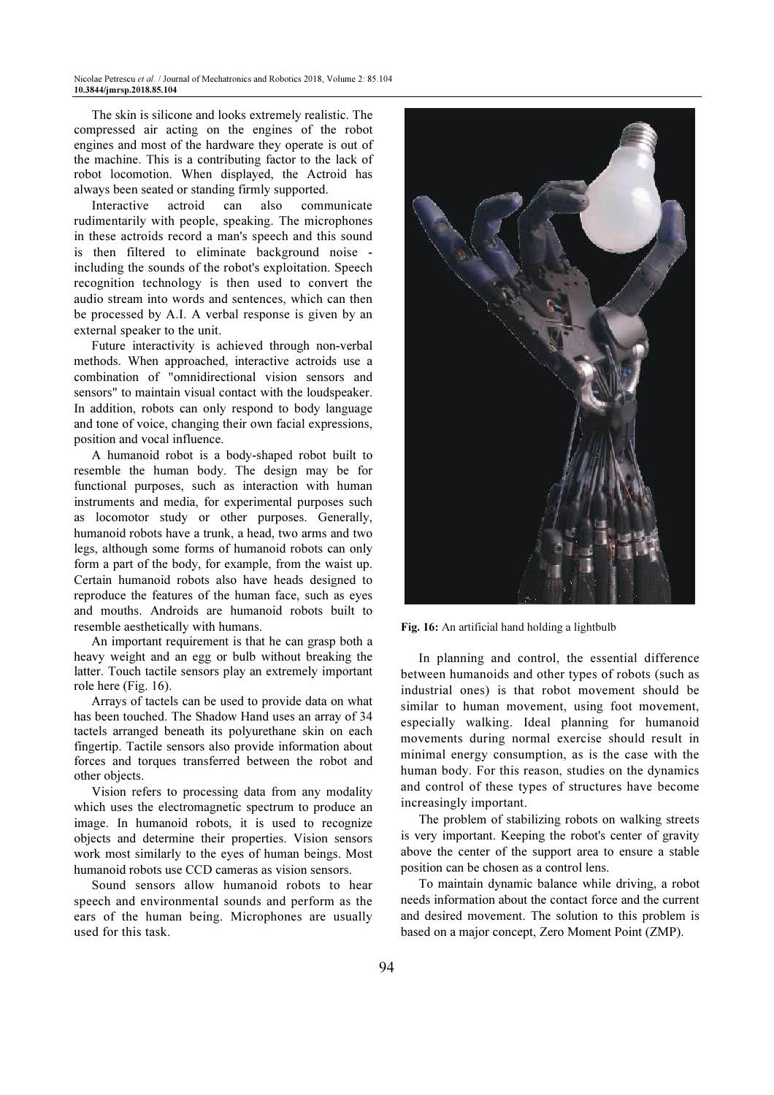The skin is silicone and looks extremely realistic. The compressed air acting on the engines of the robot engines and most of the hardware they operate is out of the machine. This is a contributing factor to the lack of robot locomotion. When displayed, the Actroid has always been seated or standing firmly supported.

Interactive actroid can also communicate rudimentarily with people, speaking. The microphones in these actroids record a man's speech and this sound is then filtered to eliminate background noise including the sounds of the robot's exploitation. Speech recognition technology is then used to convert the audio stream into words and sentences, which can then be processed by A.I. A verbal response is given by an external speaker to the unit.

Future interactivity is achieved through non-verbal methods. When approached, interactive actroids use a combination of "omnidirectional vision sensors and sensors" to maintain visual contact with the loudspeaker. In addition, robots can only respond to body language and tone of voice, changing their own facial expressions, position and vocal influence.

A humanoid robot is a body-shaped robot built to resemble the human body. The design may be for functional purposes, such as interaction with human instruments and media, for experimental purposes such as locomotor study or other purposes. Generally, humanoid robots have a trunk, a head, two arms and two legs, although some forms of humanoid robots can only form a part of the body, for example, from the waist up. Certain humanoid robots also have heads designed to reproduce the features of the human face, such as eyes and mouths. Androids are humanoid robots built to resemble aesthetically with humans.

An important requirement is that he can grasp both a heavy weight and an egg or bulb without breaking the latter. Touch tactile sensors play an extremely important role here (Fig. 16).

Arrays of tactels can be used to provide data on what has been touched. The Shadow Hand uses an array of 34 tactels arranged beneath its polyurethane skin on each fingertip. Tactile sensors also provide information about forces and torques transferred between the robot and other objects.

Vision refers to processing data from any modality which uses the electromagnetic spectrum to produce an image. In humanoid robots, it is used to recognize objects and determine their properties. Vision sensors work most similarly to the eyes of human beings. Most humanoid robots use CCD cameras as vision sensors.

Sound sensors allow humanoid robots to hear speech and environmental sounds and perform as the ears of the human being. Microphones are usually used for this task.



Fig. 16: An artificial hand holding a lightbulb

In planning and control, the essential difference between humanoids and other types of robots (such as industrial ones) is that robot movement should be similar to human movement, using foot movement, especially walking. Ideal planning for humanoid movements during normal exercise should result in minimal energy consumption, as is the case with the human body. For this reason, studies on the dynamics and control of these types of structures have become increasingly important.

The problem of stabilizing robots on walking streets is very important. Keeping the robot's center of gravity above the center of the support area to ensure a stable position can be chosen as a control lens.

To maintain dynamic balance while driving, a robot needs information about the contact force and the current and desired movement. The solution to this problem is based on a major concept, Zero Moment Point (ZMP).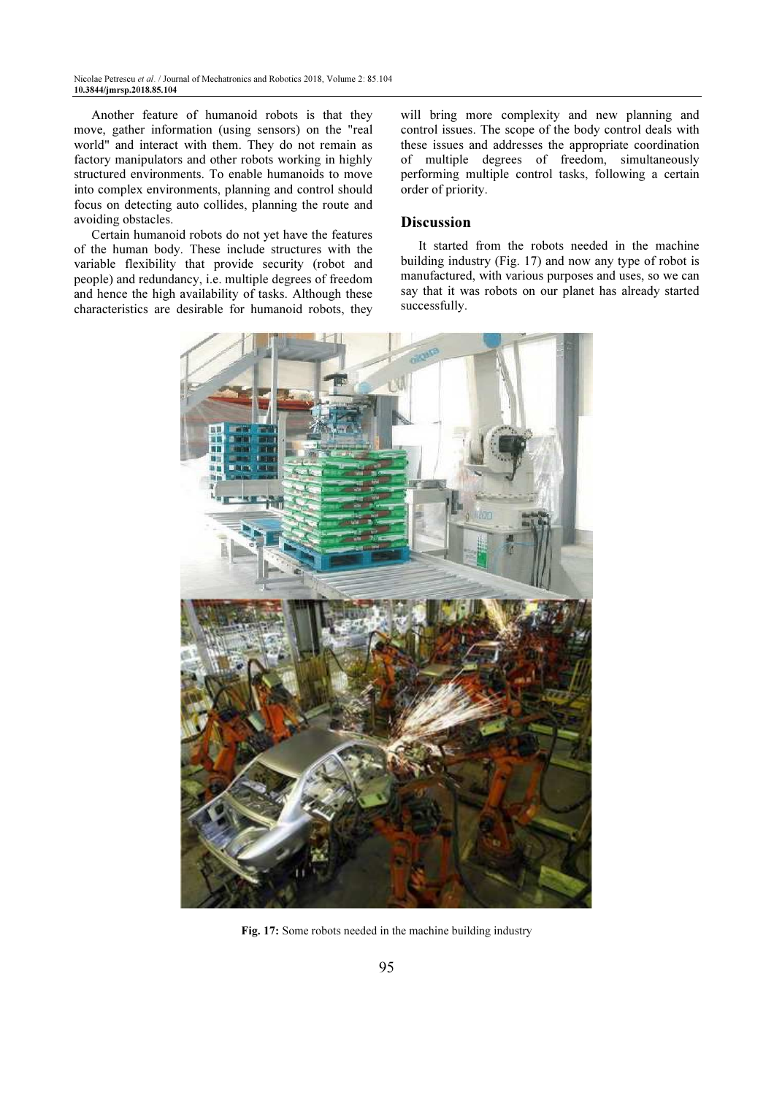Another feature of humanoid robots is that they move, gather information (using sensors) on the "real world" and interact with them. They do not remain as factory manipulators and other robots working in highly structured environments. To enable humanoids to move into complex environments, planning and control should focus on detecting auto collides, planning the route and avoiding obstacles.

Certain humanoid robots do not yet have the features of the human body. These include structures with the variable flexibility that provide security (robot and people) and redundancy, i.e. multiple degrees of freedom and hence the high availability of tasks. Although these characteristics are desirable for humanoid robots, they

will bring more complexity and new planning and control issues. The scope of the body control deals with these issues and addresses the appropriate coordination of multiple degrees of freedom, simultaneously performing multiple control tasks, following a certain order of priority.

#### **Discussion**

It started from the robots needed in the machine building industry (Fig. 17) and now any type of robot is manufactured, with various purposes and uses, so we can say that it was robots on our planet has already started successfully.



Fig. 17: Some robots needed in the machine building industry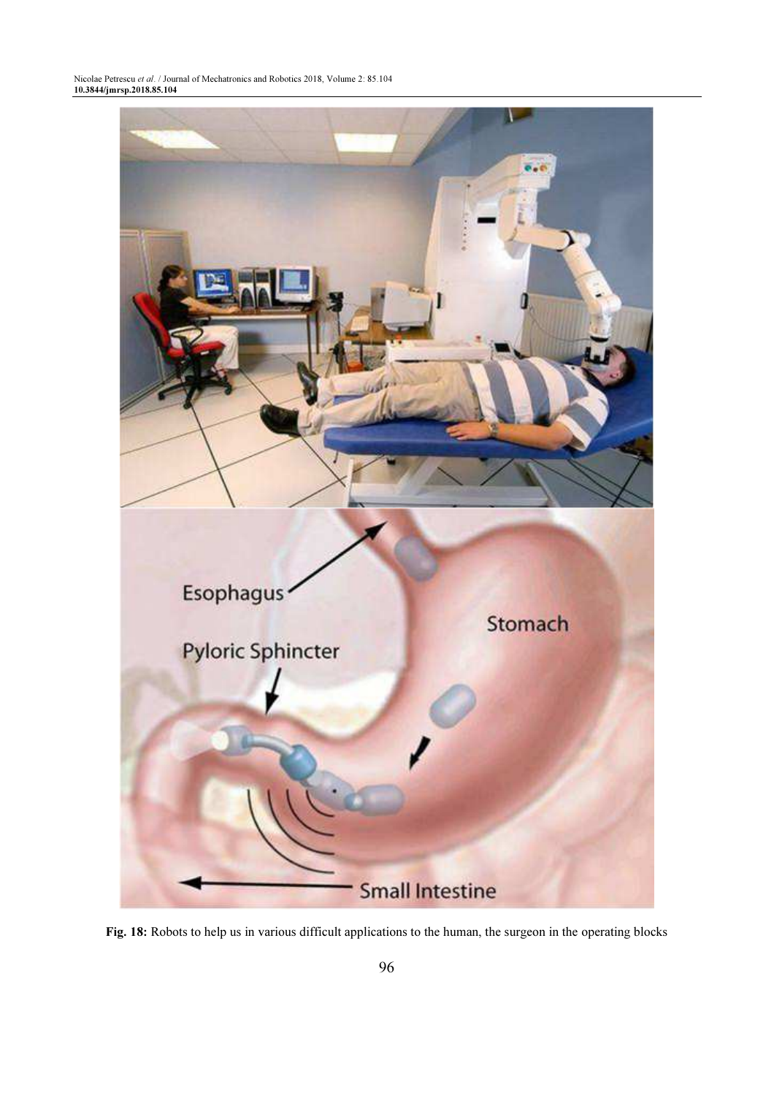

Fig. 18: Robots to help us in various difficult applications to the human, the surgeon in the operating blocks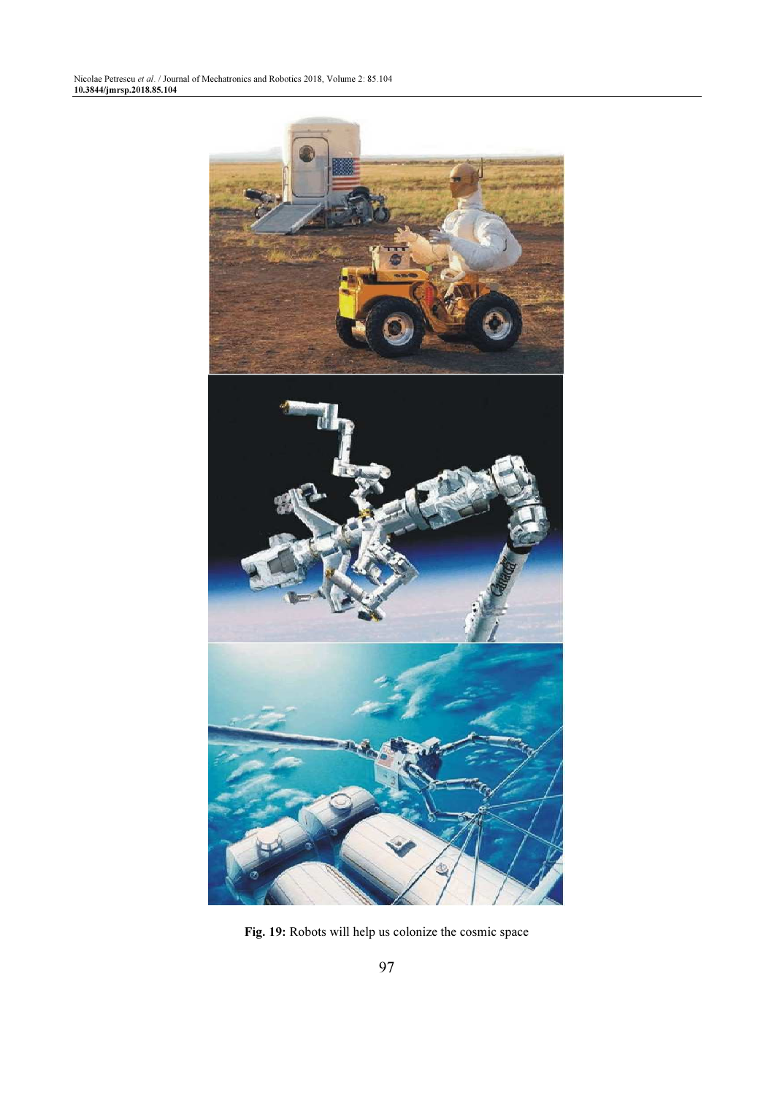

Fig. 19: Robots will help us colonize the cosmic space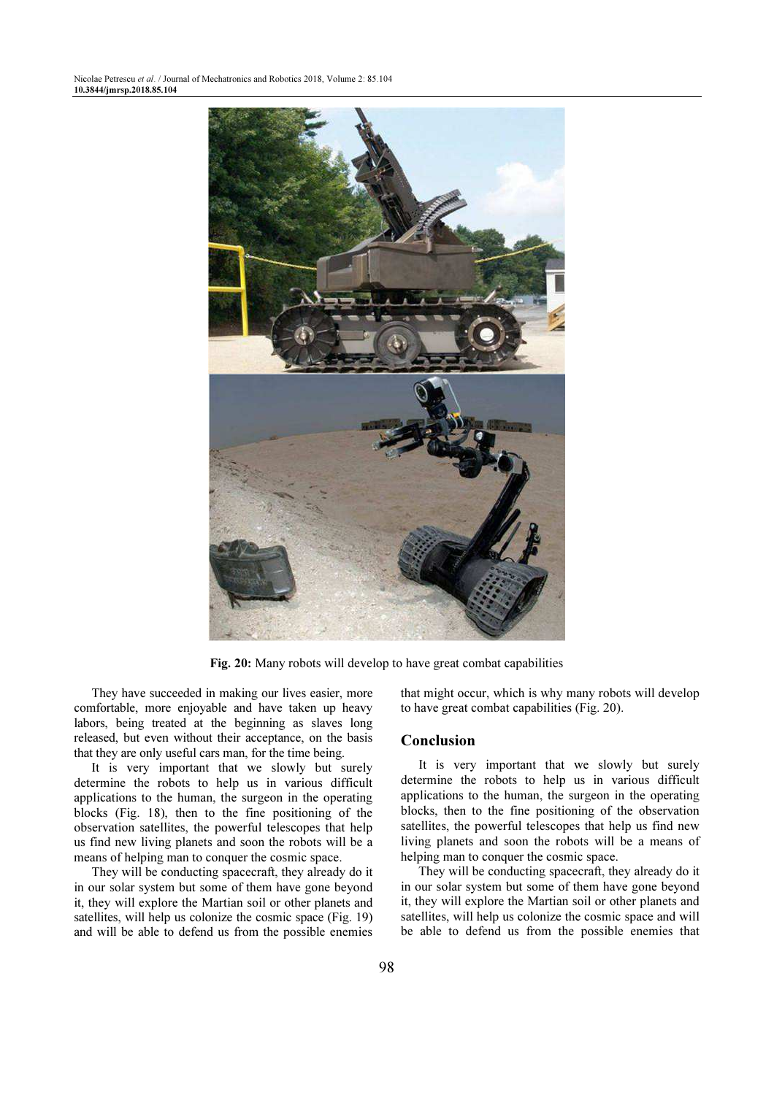

Fig. 20: Many robots will develop to have great combat capabilities

They have succeeded in making our lives easier, more comfortable, more enjoyable and have taken up heavy labors, being treated at the beginning as slaves long released, but even without their acceptance, on the basis that they are only useful cars man, for the time being.

It is very important that we slowly but surely determine the robots to help us in various difficult applications to the human, the surgeon in the operating blocks (Fig. 18), then to the fine positioning of the observation satellites, the powerful telescopes that help us find new living planets and soon the robots will be a means of helping man to conquer the cosmic space.

They will be conducting spacecraft, they already do it in our solar system but some of them have gone beyond it, they will explore the Martian soil or other planets and satellites, will help us colonize the cosmic space (Fig. 19) and will be able to defend us from the possible enemies that might occur, which is why many robots will develop to have great combat capabilities (Fig. 20).

#### Conclusion

It is very important that we slowly but surely determine the robots to help us in various difficult applications to the human, the surgeon in the operating blocks, then to the fine positioning of the observation satellites, the powerful telescopes that help us find new living planets and soon the robots will be a means of helping man to conquer the cosmic space.

They will be conducting spacecraft, they already do it in our solar system but some of them have gone beyond it, they will explore the Martian soil or other planets and satellites, will help us colonize the cosmic space and will be able to defend us from the possible enemies that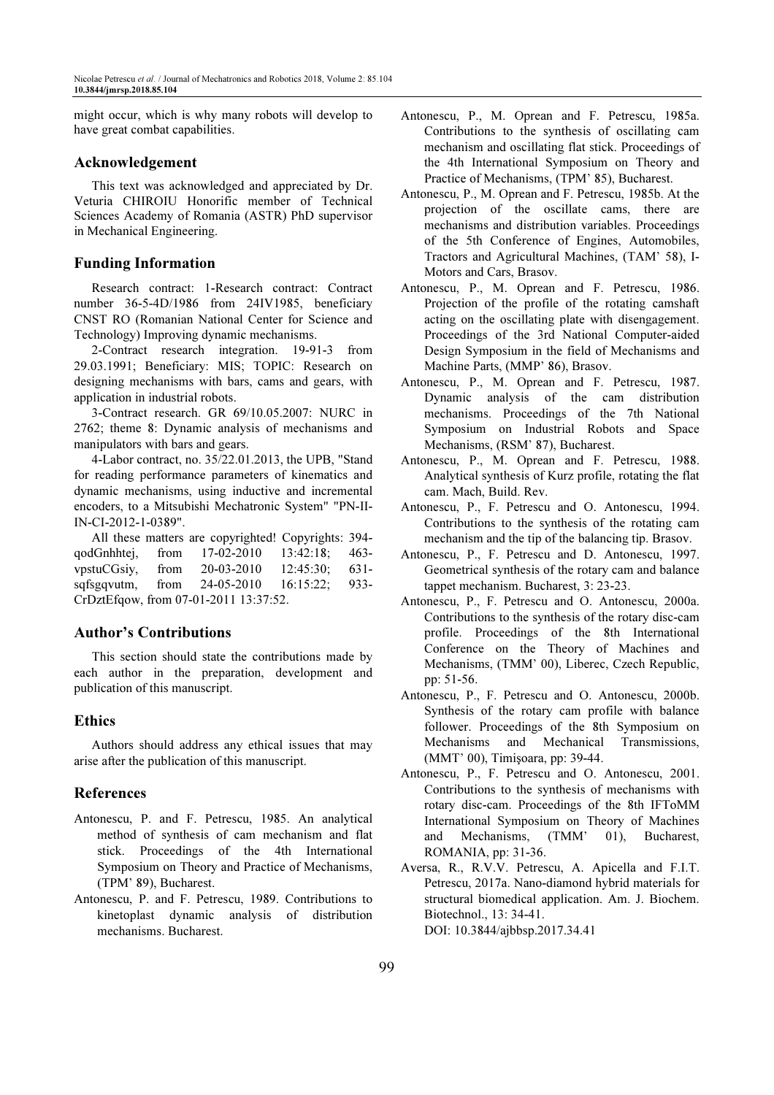might occur, which is why many robots will develop to have great combat capabilities.

# Acknowledgement

This text was acknowledged and appreciated by Dr. Veturia CHIROIU Honorific member of Technical Sciences Academy of Romania (ASTR) PhD supervisor in Mechanical Engineering.

## Funding Information

Research contract: 1-Research contract: Contract number 36-5-4D/1986 from 24IV1985, beneficiary CNST RO (Romanian National Center for Science and Technology) Improving dynamic mechanisms.

2-Contract research integration. 19-91-3 from 29.03.1991; Beneficiary: MIS; TOPIC: Research on designing mechanisms with bars, cams and gears, with application in industrial robots.

3-Contract research. GR 69/10.05.2007: NURC in 2762; theme 8: Dynamic analysis of mechanisms and manipulators with bars and gears.

4-Labor contract, no. 35/22.01.2013, the UPB, "Stand for reading performance parameters of kinematics and dynamic mechanisms, using inductive and incremental encoders, to a Mitsubishi Mechatronic System" "PN-II-IN-CI-2012-1-0389".

All these matters are copyrighted! Copyrights: 394 qodGnhhtej, from 17-02-2010 13:42:18; 463 vpstuCGsiy, from 20-03-2010 12:45:30; 631 sqfsgqvutm, from 24-05-2010 16:15:22; 933- CrDztEfqow, from 07-01-2011 13:37:52.

# Author's Contributions

This section should state the contributions made by each author in the preparation, development and publication of this manuscript.

# **Ethics**

Authors should address any ethical issues that may arise after the publication of this manuscript.

## References

- Antonescu, P. and F. Petrescu, 1985. An analytical method of synthesis of cam mechanism and flat stick. Proceedings of the 4th International Symposium on Theory and Practice of Mechanisms, (TPM' 89), Bucharest.
- Antonescu, P. and F. Petrescu, 1989. Contributions to kinetoplast dynamic analysis of distribution mechanisms. Bucharest.
- Antonescu, P., M. Oprean and F. Petrescu, 1985a. Contributions to the synthesis of oscillating cam mechanism and oscillating flat stick. Proceedings of the 4th International Symposium on Theory and Practice of Mechanisms, (TPM' 85), Bucharest.
- Antonescu, P., M. Oprean and F. Petrescu, 1985b. At the projection of the oscillate cams, there are mechanisms and distribution variables. Proceedings of the 5th Conference of Engines, Automobiles, Tractors and Agricultural Machines, (TAM' 58), I-Motors and Cars, Brasov.
- Antonescu, P., M. Oprean and F. Petrescu, 1986. Projection of the profile of the rotating camshaft acting on the oscillating plate with disengagement. Proceedings of the 3rd National Computer-aided Design Symposium in the field of Mechanisms and Machine Parts, (MMP' 86), Brasov.
- Antonescu, P., M. Oprean and F. Petrescu, 1987. Dynamic analysis of the cam distribution mechanisms. Proceedings of the 7th National Symposium on Industrial Robots and Space Mechanisms, (RSM' 87), Bucharest.
- Antonescu, P., M. Oprean and F. Petrescu, 1988. Analytical synthesis of Kurz profile, rotating the flat cam. Mach, Build. Rev.
- Antonescu, P., F. Petrescu and O. Antonescu, 1994. Contributions to the synthesis of the rotating cam mechanism and the tip of the balancing tip. Brasov.
- Antonescu, P., F. Petrescu and D. Antonescu, 1997. Geometrical synthesis of the rotary cam and balance tappet mechanism. Bucharest, 3: 23-23.
- Antonescu, P., F. Petrescu and O. Antonescu, 2000a. Contributions to the synthesis of the rotary disc-cam profile. Proceedings of the 8th International Conference on the Theory of Machines and Mechanisms, (TMM' 00), Liberec, Czech Republic, pp: 51-56.
- Antonescu, P., F. Petrescu and O. Antonescu, 2000b. Synthesis of the rotary cam profile with balance follower. Proceedings of the 8th Symposium on Mechanisms and Mechanical Transmissions, (MMT' 00), Timişoara, pp: 39-44.
- Antonescu, P., F. Petrescu and O. Antonescu, 2001. Contributions to the synthesis of mechanisms with rotary disc-cam. Proceedings of the 8th IFToMM International Symposium on Theory of Machines and Mechanisms, (TMM' 01), Bucharest, ROMANIA, pp: 31-36.
- Aversa, R., R.V.V. Petrescu, A. Apicella and F.I.T. Petrescu, 2017a. Nano-diamond hybrid materials for structural biomedical application. Am. J. Biochem. Biotechnol., 13: 34-41. DOI: 10.3844/ajbbsp.2017.34.41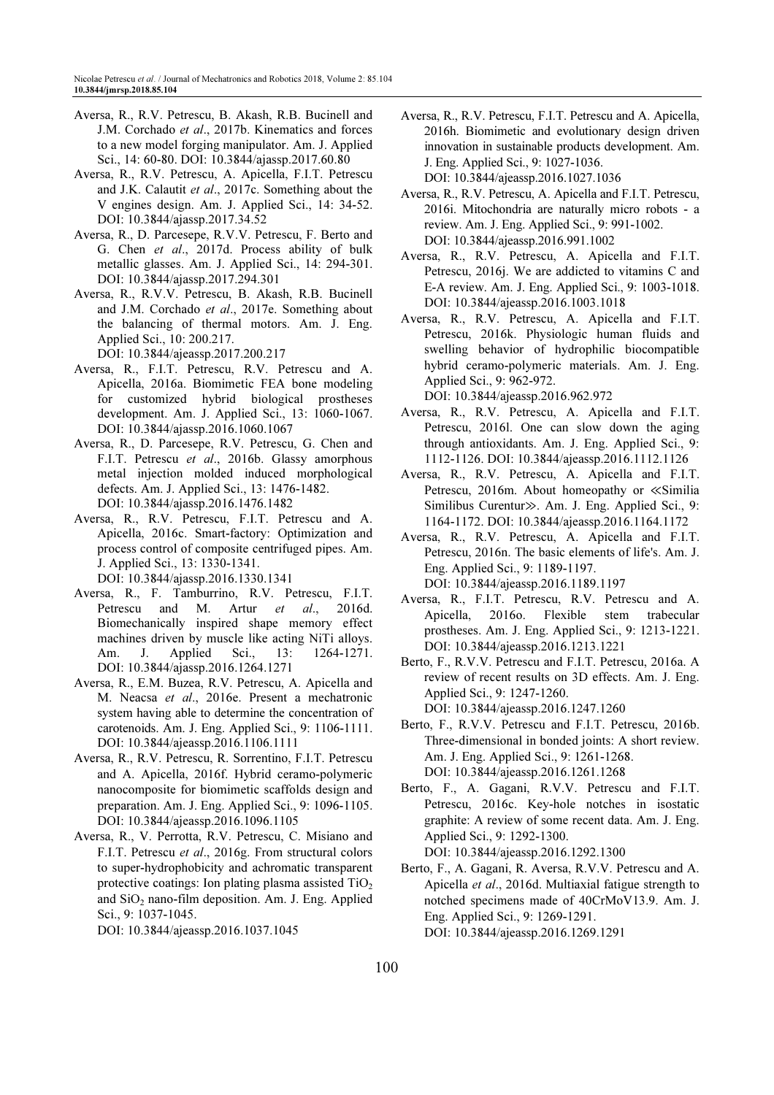- Aversa, R., R.V. Petrescu, B. Akash, R.B. Bucinell and J.M. Corchado et al., 2017b. Kinematics and forces to a new model forging manipulator. Am. J. Applied Sci., 14: 60-80. DOI: 10.3844/ajassp.2017.60.80
- Aversa, R., R.V. Petrescu, A. Apicella, F.I.T. Petrescu and J.K. Calautit et al., 2017c. Something about the V engines design. Am. J. Applied Sci., 14: 34-52. DOI: 10.3844/ajassp.2017.34.52
- Aversa, R., D. Parcesepe, R.V.V. Petrescu, F. Berto and G. Chen et al., 2017d. Process ability of bulk metallic glasses. Am. J. Applied Sci., 14: 294-301. DOI: 10.3844/ajassp.2017.294.301
- Aversa, R., R.V.V. Petrescu, B. Akash, R.B. Bucinell and J.M. Corchado et al., 2017e. Something about the balancing of thermal motors. Am. J. Eng. Applied Sci., 10: 200.217. DOI: 10.3844/ajeassp.2017.200.217
- Aversa, R., F.I.T. Petrescu, R.V. Petrescu and A. Apicella, 2016a. Biomimetic FEA bone modeling for customized hybrid biological prostheses development. Am. J. Applied Sci., 13: 1060-1067. DOI: 10.3844/ajassp.2016.1060.1067
- Aversa, R., D. Parcesepe, R.V. Petrescu, G. Chen and F.I.T. Petrescu et al., 2016b. Glassy amorphous metal injection molded induced morphological defects. Am. J. Applied Sci., 13: 1476-1482. DOI: 10.3844/ajassp.2016.1476.1482
- Aversa, R., R.V. Petrescu, F.I.T. Petrescu and A. Apicella, 2016c. Smart-factory: Optimization and process control of composite centrifuged pipes. Am. J. Applied Sci., 13: 1330-1341. DOI: 10.3844/ajassp.2016.1330.1341
- Aversa, R., F. Tamburrino, R.V. Petrescu, F.I.T. Petrescu and M. Artur et al., 2016d. Biomechanically inspired shape memory effect machines driven by muscle like acting NiTi alloys. Am. J. Applied Sci., 13: 1264-1271. DOI: 10.3844/ajassp.2016.1264.1271
- Aversa, R., E.M. Buzea, R.V. Petrescu, A. Apicella and M. Neacsa et al., 2016e. Present a mechatronic system having able to determine the concentration of carotenoids. Am. J. Eng. Applied Sci., 9: 1106-1111. DOI: 10.3844/ajeassp.2016.1106.1111
- Aversa, R., R.V. Petrescu, R. Sorrentino, F.I.T. Petrescu and A. Apicella, 2016f. Hybrid ceramo-polymeric nanocomposite for biomimetic scaffolds design and preparation. Am. J. Eng. Applied Sci., 9: 1096-1105. DOI: 10.3844/ajeassp.2016.1096.1105
- Aversa, R., V. Perrotta, R.V. Petrescu, C. Misiano and F.I.T. Petrescu et al., 2016g. From structural colors to super-hydrophobicity and achromatic transparent protective coatings: Ion plating plasma assisted  $TiO<sub>2</sub>$ and  $SiO<sub>2</sub>$  nano-film deposition. Am. J. Eng. Applied Sci., 9: 1037-1045.

DOI: 10.3844/ajeassp.2016.1037.1045

- Aversa, R., R.V. Petrescu, F.I.T. Petrescu and A. Apicella, 2016h. Biomimetic and evolutionary design driven innovation in sustainable products development. Am. J. Eng. Applied Sci., 9: 1027-1036. DOI: 10.3844/ajeassp.2016.1027.1036
- Aversa, R., R.V. Petrescu, A. Apicella and F.I.T. Petrescu, 2016i. Mitochondria are naturally micro robots - a review. Am. J. Eng. Applied Sci., 9: 991-1002. DOI: 10.3844/ajeassp.2016.991.1002
- Aversa, R., R.V. Petrescu, A. Apicella and F.I.T. Petrescu, 2016j. We are addicted to vitamins C and E-A review. Am. J. Eng. Applied Sci., 9: 1003-1018. DOI: 10.3844/ajeassp.2016.1003.1018
- Aversa, R., R.V. Petrescu, A. Apicella and F.I.T. Petrescu, 2016k. Physiologic human fluids and swelling behavior of hydrophilic biocompatible hybrid ceramo-polymeric materials. Am. J. Eng. Applied Sci., 9: 962-972. DOI: 10.3844/ajeassp.2016.962.972
- Aversa, R., R.V. Petrescu, A. Apicella and F.I.T. Petrescu, 2016l. One can slow down the aging through antioxidants. Am. J. Eng. Applied Sci., 9: 1112-1126. DOI: 10.3844/ajeassp.2016.1112.1126
- Aversa, R., R.V. Petrescu, A. Apicella and F.I.T. Petrescu, 2016m. About homeopathy or ≪Similia Similibus Curentur≫. Am. J. Eng. Applied Sci., 9: 1164-1172. DOI: 10.3844/ajeassp.2016.1164.1172
- Aversa, R., R.V. Petrescu, A. Apicella and F.I.T. Petrescu, 2016n. The basic elements of life's. Am. J. Eng. Applied Sci., 9: 1189-1197. DOI: 10.3844/ajeassp.2016.1189.1197
- Aversa, R., F.I.T. Petrescu, R.V. Petrescu and A. Apicella, 2016o. Flexible stem trabecular prostheses. Am. J. Eng. Applied Sci., 9: 1213-1221. DOI: 10.3844/ajeassp.2016.1213.1221
- Berto, F., R.V.V. Petrescu and F.I.T. Petrescu, 2016a. A review of recent results on 3D effects. Am. J. Eng. Applied Sci., 9: 1247-1260. DOI: 10.3844/ajeassp.2016.1247.1260
- Berto, F., R.V.V. Petrescu and F.I.T. Petrescu, 2016b. Three-dimensional in bonded joints: A short review. Am. J. Eng. Applied Sci., 9: 1261-1268. DOI: 10.3844/ajeassp.2016.1261.1268
- Berto, F., A. Gagani, R.V.V. Petrescu and F.I.T. Petrescu, 2016c. Key-hole notches in isostatic graphite: A review of some recent data. Am. J. Eng. Applied Sci., 9: 1292-1300. DOI: 10.3844/ajeassp.2016.1292.1300
- Berto, F., A. Gagani, R. Aversa, R.V.V. Petrescu and A. Apicella et al., 2016d. Multiaxial fatigue strength to notched specimens made of 40CrMoV13.9. Am. J. Eng. Applied Sci., 9: 1269-1291. DOI: 10.3844/ajeassp.2016.1269.1291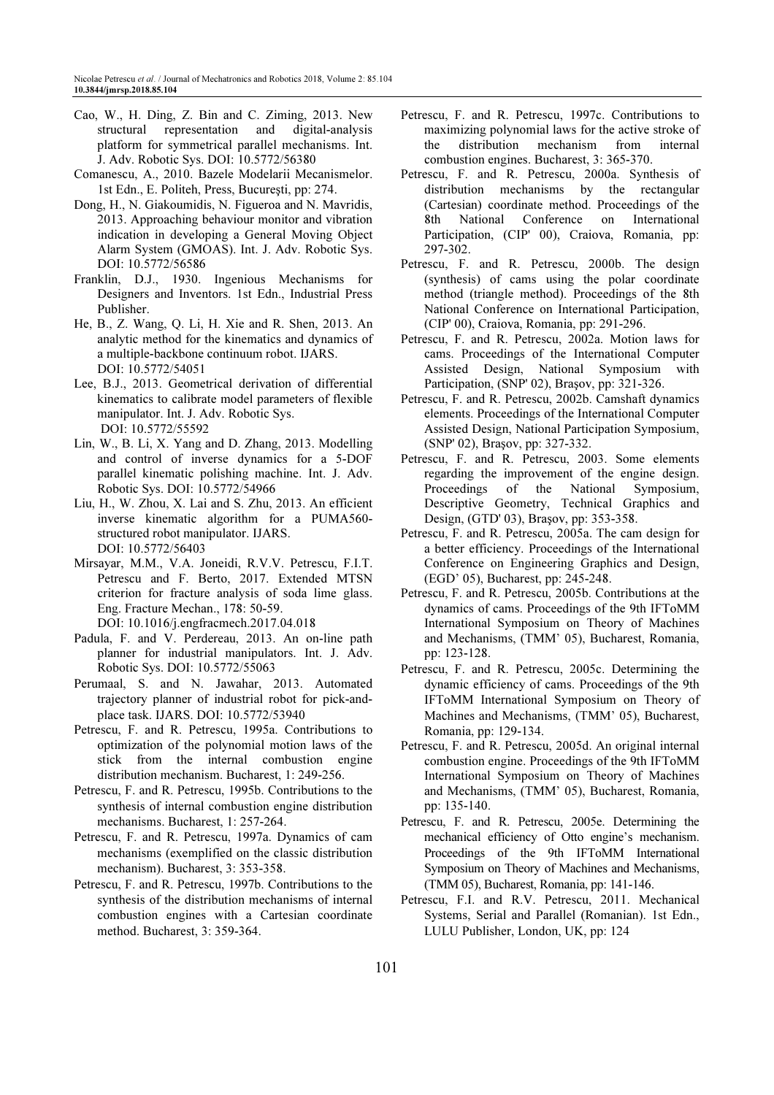- Cao, W., H. Ding, Z. Bin and C. Ziming, 2013. New structural representation and digital-analysis platform for symmetrical parallel mechanisms. Int. J. Adv. Robotic Sys. DOI: 10.5772/56380
- Comanescu, A., 2010. Bazele Modelarii Mecanismelor. 1st Edn., E. Politeh, Press, Bucureşti, pp: 274.
- Dong, H., N. Giakoumidis, N. Figueroa and N. Mavridis, 2013. Approaching behaviour monitor and vibration indication in developing a General Moving Object Alarm System (GMOAS). Int. J. Adv. Robotic Sys. DOI: 10.5772/56586
- Franklin, D.J., 1930. Ingenious Mechanisms for Designers and Inventors. 1st Edn., Industrial Press Publisher.
- He, B., Z. Wang, Q. Li, H. Xie and R. Shen, 2013. An analytic method for the kinematics and dynamics of a multiple-backbone continuum robot. IJARS. DOI: 10.5772/54051
- Lee, B.J., 2013. Geometrical derivation of differential kinematics to calibrate model parameters of flexible manipulator. Int. J. Adv. Robotic Sys. DOI: 10.5772/55592
- Lin, W., B. Li, X. Yang and D. Zhang, 2013. Modelling and control of inverse dynamics for a 5-DOF parallel kinematic polishing machine. Int. J. Adv. Robotic Sys. DOI: 10.5772/54966
- Liu, H., W. Zhou, X. Lai and S. Zhu, 2013. An efficient inverse kinematic algorithm for a PUMA560 structured robot manipulator. IJARS. DOI: 10.5772/56403
- Mirsayar, M.M., V.A. Joneidi, R.V.V. Petrescu, F.I.T. Petrescu and F. Berto, 2017. Extended MTSN criterion for fracture analysis of soda lime glass. Eng. Fracture Mechan., 178: 50-59.
- DOI: 10.1016/j.engfracmech.2017.04.018
- Padula, F. and V. Perdereau, 2013. An on-line path planner for industrial manipulators. Int. J. Adv. Robotic Sys. DOI: 10.5772/55063
- Perumaal, S. and N. Jawahar, 2013. Automated trajectory planner of industrial robot for pick-andplace task. IJARS. DOI: 10.5772/53940
- Petrescu, F. and R. Petrescu, 1995a. Contributions to optimization of the polynomial motion laws of the stick from the internal combustion engine distribution mechanism. Bucharest, 1: 249-256.
- Petrescu, F. and R. Petrescu, 1995b. Contributions to the synthesis of internal combustion engine distribution mechanisms. Bucharest, 1: 257-264.
- Petrescu, F. and R. Petrescu, 1997a. Dynamics of cam mechanisms (exemplified on the classic distribution mechanism). Bucharest, 3: 353-358.
- Petrescu, F. and R. Petrescu, 1997b. Contributions to the synthesis of the distribution mechanisms of internal combustion engines with a Cartesian coordinate method. Bucharest, 3: 359-364.
- Petrescu, F. and R. Petrescu, 1997c. Contributions to maximizing polynomial laws for the active stroke of the distribution mechanism from internal combustion engines. Bucharest, 3: 365-370.
- Petrescu, F. and R. Petrescu, 2000a. Synthesis of distribution mechanisms by the rectangular (Cartesian) coordinate method. Proceedings of the 8th National Conference on International Participation, (CIP' 00), Craiova, Romania, pp: 297-302.
- Petrescu, F. and R. Petrescu, 2000b. The design (synthesis) of cams using the polar coordinate method (triangle method). Proceedings of the 8th National Conference on International Participation, (CIP' 00), Craiova, Romania, pp: 291-296.
- Petrescu, F. and R. Petrescu, 2002a. Motion laws for cams. Proceedings of the International Computer Assisted Design, National Symposium with Participation, (SNP' 02), Braşov, pp: 321-326.
- Petrescu, F. and R. Petrescu, 2002b. Camshaft dynamics elements. Proceedings of the International Computer Assisted Design, National Participation Symposium, (SNP' 02), Braşov, pp: 327-332.
- Petrescu, F. and R. Petrescu, 2003. Some elements regarding the improvement of the engine design. Proceedings of the National Symposium, Descriptive Geometry, Technical Graphics and Design, (GTD' 03), Braşov, pp: 353-358.
- Petrescu, F. and R. Petrescu, 2005a. The cam design for a better efficiency. Proceedings of the International Conference on Engineering Graphics and Design, (EGD' 05), Bucharest, pp: 245-248.
- Petrescu, F. and R. Petrescu, 2005b. Contributions at the dynamics of cams. Proceedings of the 9th IFToMM International Symposium on Theory of Machines and Mechanisms, (TMM' 05), Bucharest, Romania, pp: 123-128.
- Petrescu, F. and R. Petrescu, 2005c. Determining the dynamic efficiency of cams. Proceedings of the 9th IFToMM International Symposium on Theory of Machines and Mechanisms, (TMM' 05), Bucharest, Romania, pp: 129-134.
- Petrescu, F. and R. Petrescu, 2005d. An original internal combustion engine. Proceedings of the 9th IFToMM International Symposium on Theory of Machines and Mechanisms, (TMM' 05), Bucharest, Romania, pp: 135-140.
- Petrescu, F. and R. Petrescu, 2005e. Determining the mechanical efficiency of Otto engine's mechanism. Proceedings of the 9th IFToMM International Symposium on Theory of Machines and Mechanisms, (TMM 05), Bucharest, Romania, pp: 141-146.
- Petrescu, F.I. and R.V. Petrescu, 2011. Mechanical Systems, Serial and Parallel (Romanian). 1st Edn., LULU Publisher, London, UK, pp: 124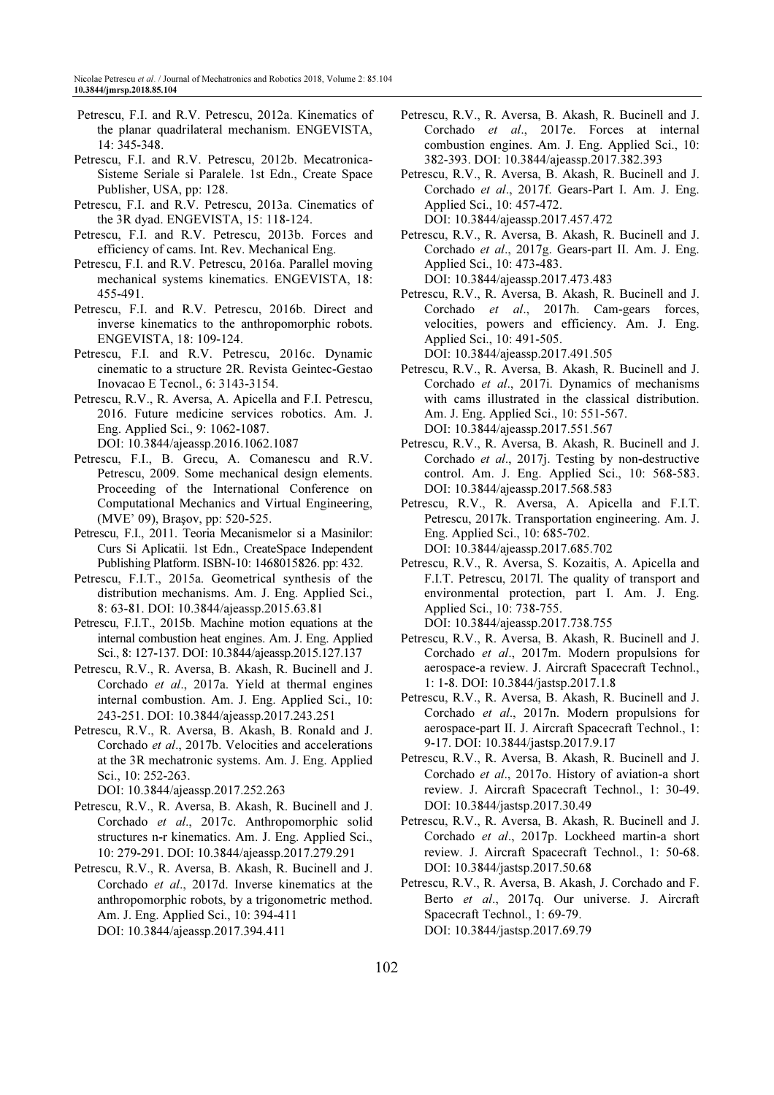- Petrescu, F.I. and R.V. Petrescu, 2012a. Kinematics of the planar quadrilateral mechanism. ENGEVISTA, 14: 345-348.
- Petrescu, F.I. and R.V. Petrescu, 2012b. Mecatronica-Sisteme Seriale si Paralele. 1st Edn., Create Space Publisher, USA, pp: 128.
- Petrescu, F.I. and R.V. Petrescu, 2013a. Cinematics of the 3R dyad. ENGEVISTA, 15: 118-124.
- Petrescu, F.I. and R.V. Petrescu, 2013b. Forces and efficiency of cams. Int. Rev. Mechanical Eng.
- Petrescu, F.I. and R.V. Petrescu, 2016a. Parallel moving mechanical systems kinematics. ENGEVISTA, 18: 455-491.
- Petrescu, F.I. and R.V. Petrescu, 2016b. Direct and inverse kinematics to the anthropomorphic robots. ENGEVISTA, 18: 109-124.
- Petrescu, F.I. and R.V. Petrescu, 2016c. Dynamic cinematic to a structure 2R. Revista Geintec-Gestao Inovacao E Tecnol., 6: 3143-3154.
- Petrescu, R.V., R. Aversa, A. Apicella and F.I. Petrescu, 2016. Future medicine services robotics. Am. J. Eng. Applied Sci., 9: 1062-1087. DOI: 10.3844/ajeassp.2016.1062.1087
- Petrescu, F.I., B. Grecu, A. Comanescu and R.V. Petrescu, 2009. Some mechanical design elements. Proceeding of the International Conference on Computational Mechanics and Virtual Engineering, (MVE' 09), Braşov, pp: 520-525.
- Petrescu, F.I., 2011. Teoria Mecanismelor si a Masinilor: Curs Si Aplicatii. 1st Edn., CreateSpace Independent Publishing Platform. ISBN-10: 1468015826. pp: 432.
- Petrescu, F.I.T., 2015a. Geometrical synthesis of the distribution mechanisms. Am. J. Eng. Applied Sci., 8: 63-81. DOI: 10.3844/ajeassp.2015.63.81
- Petrescu, F.I.T., 2015b. Machine motion equations at the internal combustion heat engines. Am. J. Eng. Applied Sci., 8: 127-137. DOI: 10.3844/ajeassp.2015.127.137
- Petrescu, R.V., R. Aversa, B. Akash, R. Bucinell and J. Corchado et al., 2017a. Yield at thermal engines internal combustion. Am. J. Eng. Applied Sci., 10: 243-251. DOI: 10.3844/ajeassp.2017.243.251
- Petrescu, R.V., R. Aversa, B. Akash, B. Ronald and J. Corchado et al., 2017b. Velocities and accelerations at the 3R mechatronic systems. Am. J. Eng. Applied Sci., 10: 252-263.

DOI: 10.3844/ajeassp.2017.252.263

- Petrescu, R.V., R. Aversa, B. Akash, R. Bucinell and J. Corchado et al., 2017c. Anthropomorphic solid structures n-r kinematics. Am. J. Eng. Applied Sci., 10: 279-291. DOI: 10.3844/ajeassp.2017.279.291
- Petrescu, R.V., R. Aversa, B. Akash, R. Bucinell and J. Corchado et al., 2017d. Inverse kinematics at the anthropomorphic robots, by a trigonometric method. Am. J. Eng. Applied Sci., 10: 394-411 DOI: 10.3844/ajeassp.2017.394.411
- Petrescu, R.V., R. Aversa, B. Akash, R. Bucinell and J. Corchado et al., 2017e. Forces at internal combustion engines. Am. J. Eng. Applied Sci., 10: 382-393. DOI: 10.3844/ajeassp.2017.382.393
- Petrescu, R.V., R. Aversa, B. Akash, R. Bucinell and J. Corchado et al., 2017f. Gears-Part I. Am. J. Eng. Applied Sci., 10: 457-472. DOI: 10.3844/ajeassp.2017.457.472
- Petrescu, R.V., R. Aversa, B. Akash, R. Bucinell and J. Corchado et al., 2017g. Gears-part II. Am. J. Eng. Applied Sci., 10: 473-483. DOI: 10.3844/ajeassp.2017.473.483
- Petrescu, R.V., R. Aversa, B. Akash, R. Bucinell and J. Corchado et al., 2017h. Cam-gears forces, velocities, powers and efficiency. Am. J. Eng. Applied Sci., 10: 491-505. DOI: 10.3844/ajeassp.2017.491.505
- Petrescu, R.V., R. Aversa, B. Akash, R. Bucinell and J. Corchado et al., 2017i. Dynamics of mechanisms with cams illustrated in the classical distribution. Am. J. Eng. Applied Sci., 10: 551-567. DOI: 10.3844/ajeassp.2017.551.567
- Petrescu, R.V., R. Aversa, B. Akash, R. Bucinell and J. Corchado et al., 2017j. Testing by non-destructive control. Am. J. Eng. Applied Sci., 10: 568-583. DOI: 10.3844/ajeassp.2017.568.583
- Petrescu, R.V., R. Aversa, A. Apicella and F.I.T. Petrescu, 2017k. Transportation engineering. Am. J. Eng. Applied Sci., 10: 685-702. DOI: 10.3844/ajeassp.2017.685.702
- Petrescu, R.V., R. Aversa, S. Kozaitis, A. Apicella and F.I.T. Petrescu, 2017l. The quality of transport and environmental protection, part I. Am. J. Eng. Applied Sci., 10: 738-755.

DOI: 10.3844/ajeassp.2017.738.755

- Petrescu, R.V., R. Aversa, B. Akash, R. Bucinell and J. Corchado et al., 2017m. Modern propulsions for aerospace-a review. J. Aircraft Spacecraft Technol., 1: 1-8. DOI: 10.3844/jastsp.2017.1.8
- Petrescu, R.V., R. Aversa, B. Akash, R. Bucinell and J. Corchado et al., 2017n. Modern propulsions for aerospace-part II. J. Aircraft Spacecraft Technol., 1: 9-17. DOI: 10.3844/jastsp.2017.9.17
- Petrescu, R.V., R. Aversa, B. Akash, R. Bucinell and J. Corchado et al., 2017o. History of aviation-a short review. J. Aircraft Spacecraft Technol., 1: 30-49. DOI: 10.3844/jastsp.2017.30.49
- Petrescu, R.V., R. Aversa, B. Akash, R. Bucinell and J. Corchado et al., 2017p. Lockheed martin-a short review. J. Aircraft Spacecraft Technol., 1: 50-68. DOI: 10.3844/jastsp.2017.50.68
- Petrescu, R.V., R. Aversa, B. Akash, J. Corchado and F. Berto et al., 2017q. Our universe. J. Aircraft Spacecraft Technol., 1: 69-79. DOI: 10.3844/jastsp.2017.69.79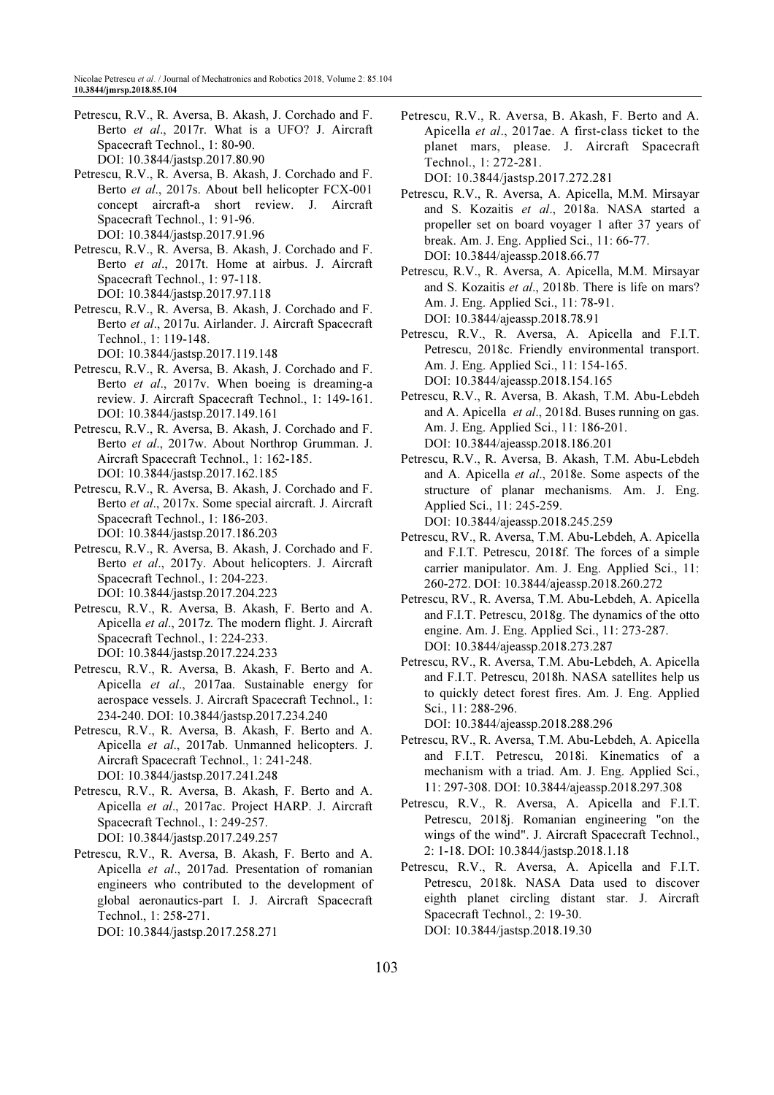- Petrescu, R.V., R. Aversa, B. Akash, J. Corchado and F. Berto et al., 2017r. What is a UFO? J. Aircraft Spacecraft Technol., 1: 80-90. DOI: 10.3844/jastsp.2017.80.90
- Petrescu, R.V., R. Aversa, B. Akash, J. Corchado and F. Berto et al., 2017s. About bell helicopter FCX-001 concept aircraft-a short review. J. Aircraft Spacecraft Technol., 1: 91-96. DOI: 10.3844/jastsp.2017.91.96
- Petrescu, R.V., R. Aversa, B. Akash, J. Corchado and F. Berto et al., 2017t. Home at airbus. J. Aircraft Spacecraft Technol., 1: 97-118. DOI: 10.3844/jastsp.2017.97.118
- Petrescu, R.V., R. Aversa, B. Akash, J. Corchado and F. Berto et al., 2017u. Airlander. J. Aircraft Spacecraft Technol., 1: 119-148. DOI: 10.3844/jastsp.2017.119.148
- Petrescu, R.V., R. Aversa, B. Akash, J. Corchado and F. Berto et al., 2017v. When boeing is dreaming-a review. J. Aircraft Spacecraft Technol., 1: 149-161. DOI: 10.3844/jastsp.2017.149.161
- Petrescu, R.V., R. Aversa, B. Akash, J. Corchado and F. Berto et al., 2017w. About Northrop Grumman. J. Aircraft Spacecraft Technol., 1: 162-185. DOI: 10.3844/jastsp.2017.162.185
- Petrescu, R.V., R. Aversa, B. Akash, J. Corchado and F. Berto et al., 2017x. Some special aircraft. J. Aircraft Spacecraft Technol., 1: 186-203. DOI: 10.3844/jastsp.2017.186.203
- Petrescu, R.V., R. Aversa, B. Akash, J. Corchado and F. Berto et al., 2017y. About helicopters. J. Aircraft Spacecraft Technol., 1: 204-223. DOI: 10.3844/jastsp.2017.204.223
- Petrescu, R.V., R. Aversa, B. Akash, F. Berto and A. Apicella et al., 2017z. The modern flight. J. Aircraft Spacecraft Technol., 1: 224-233. DOI: 10.3844/jastsp.2017.224.233
- Petrescu, R.V., R. Aversa, B. Akash, F. Berto and A. Apicella et al., 2017aa. Sustainable energy for aerospace vessels. J. Aircraft Spacecraft Technol., 1: 234-240. DOI: 10.3844/jastsp.2017.234.240
- Petrescu, R.V., R. Aversa, B. Akash, F. Berto and A. Apicella et al., 2017ab. Unmanned helicopters. J. Aircraft Spacecraft Technol., 1: 241-248. DOI: 10.3844/jastsp.2017.241.248
- Petrescu, R.V., R. Aversa, B. Akash, F. Berto and A. Apicella et al., 2017ac. Project HARP. J. Aircraft Spacecraft Technol., 1: 249-257. DOI: 10.3844/jastsp.2017.249.257
- Petrescu, R.V., R. Aversa, B. Akash, F. Berto and A. Apicella et al., 2017ad. Presentation of romanian engineers who contributed to the development of global aeronautics-part I. J. Aircraft Spacecraft Technol., 1: 258-271. DOI: 10.3844/jastsp.2017.258.271
- Petrescu, R.V., R. Aversa, B. Akash, F. Berto and A. Apicella et al., 2017ae. A first-class ticket to the planet mars, please. J. Aircraft Spacecraft Technol., 1: 272-281.
	- DOI: 10.3844/jastsp.2017.272.281
- Petrescu, R.V., R. Aversa, A. Apicella, M.M. Mirsayar and S. Kozaitis et al., 2018a. NASA started a propeller set on board voyager 1 after 37 years of break. Am. J. Eng. Applied Sci., 11: 66-77. DOI: 10.3844/ajeassp.2018.66.77
- Petrescu, R.V., R. Aversa, A. Apicella, M.M. Mirsayar and S. Kozaitis et al., 2018b. There is life on mars? Am. J. Eng. Applied Sci., 11: 78-91. DOI: 10.3844/ajeassp.2018.78.91
- Petrescu, R.V., R. Aversa, A. Apicella and F.I.T. Petrescu, 2018c. Friendly environmental transport. Am. J. Eng. Applied Sci., 11: 154-165. DOI: 10.3844/ajeassp.2018.154.165
- Petrescu, R.V., R. Aversa, B. Akash, T.M. Abu-Lebdeh and A. Apicella et al., 2018d. Buses running on gas. Am. J. Eng. Applied Sci., 11: 186-201. DOI: 10.3844/ajeassp.2018.186.201
- Petrescu, R.V., R. Aversa, B. Akash, T.M. Abu-Lebdeh and A. Apicella et al., 2018e. Some aspects of the structure of planar mechanisms. Am. J. Eng. Applied Sci., 11: 245-259.
	- DOI: 10.3844/ajeassp.2018.245.259
- Petrescu, RV., R. Aversa, T.M. Abu-Lebdeh, A. Apicella and F.I.T. Petrescu, 2018f. The forces of a simple carrier manipulator. Am. J. Eng. Applied Sci., 11: 260-272. DOI: 10.3844/ajeassp.2018.260.272
- Petrescu, RV., R. Aversa, T.M. Abu-Lebdeh, A. Apicella and F.I.T. Petrescu, 2018g. The dynamics of the otto engine. Am. J. Eng. Applied Sci., 11: 273-287. DOI: 10.3844/ajeassp.2018.273.287
- Petrescu, RV., R. Aversa, T.M. Abu-Lebdeh, A. Apicella and F.I.T. Petrescu, 2018h. NASA satellites help us to quickly detect forest fires. Am. J. Eng. Applied Sci., 11: 288-296.
	- DOI: 10.3844/ajeassp.2018.288.296
- Petrescu, RV., R. Aversa, T.M. Abu-Lebdeh, A. Apicella and F.I.T. Petrescu, 2018i. Kinematics of a mechanism with a triad. Am. J. Eng. Applied Sci., 11: 297-308. DOI: 10.3844/ajeassp.2018.297.308
- Petrescu, R.V., R. Aversa, A. Apicella and F.I.T. Petrescu, 2018j. Romanian engineering "on the wings of the wind". J. Aircraft Spacecraft Technol., 2: 1-18. DOI: 10.3844/jastsp.2018.1.18
- Petrescu, R.V., R. Aversa, A. Apicella and F.I.T. Petrescu, 2018k. NASA Data used to discover eighth planet circling distant star. J. Aircraft Spacecraft Technol., 2: 19-30. DOI: 10.3844/jastsp.2018.19.30